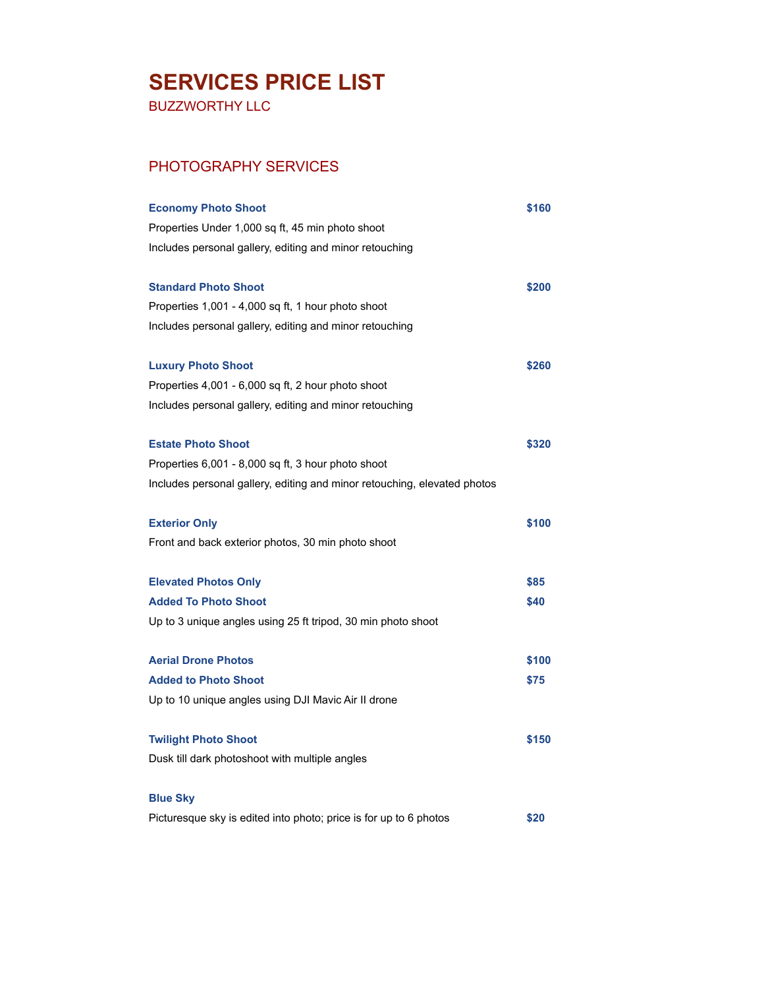## **SERVICES PRICE LIST**

BUZZWORTHY LLC

## PHOTOGRAPHY SERVICES

| <b>Economy Photo Shoot</b>                                               | \$160 |
|--------------------------------------------------------------------------|-------|
| Properties Under 1,000 sq ft, 45 min photo shoot                         |       |
| Includes personal gallery, editing and minor retouching                  |       |
| <b>Standard Photo Shoot</b>                                              | \$200 |
| Properties 1,001 - 4,000 sq ft, 1 hour photo shoot                       |       |
| Includes personal gallery, editing and minor retouching                  |       |
| <b>Luxury Photo Shoot</b>                                                | \$260 |
| Properties 4,001 - 6,000 sq ft, 2 hour photo shoot                       |       |
| Includes personal gallery, editing and minor retouching                  |       |
| <b>Estate Photo Shoot</b>                                                | \$320 |
| Properties 6,001 - 8,000 sq ft, 3 hour photo shoot                       |       |
| Includes personal gallery, editing and minor retouching, elevated photos |       |
| <b>Exterior Only</b>                                                     | \$100 |
| Front and back exterior photos, 30 min photo shoot                       |       |
| <b>Elevated Photos Only</b>                                              | \$85  |
| <b>Added To Photo Shoot</b>                                              | \$40  |
| Up to 3 unique angles using 25 ft tripod, 30 min photo shoot             |       |
| <b>Aerial Drone Photos</b>                                               | \$100 |
| <b>Added to Photo Shoot</b>                                              | \$75  |
| Up to 10 unique angles using DJI Mavic Air II drone                      |       |
| <b>Twilight Photo Shoot</b>                                              | \$150 |
| Dusk till dark photoshoot with multiple angles                           |       |
| <b>Blue Sky</b>                                                          |       |
| Picturesque sky is edited into photo; price is for up to 6 photos        | \$20  |